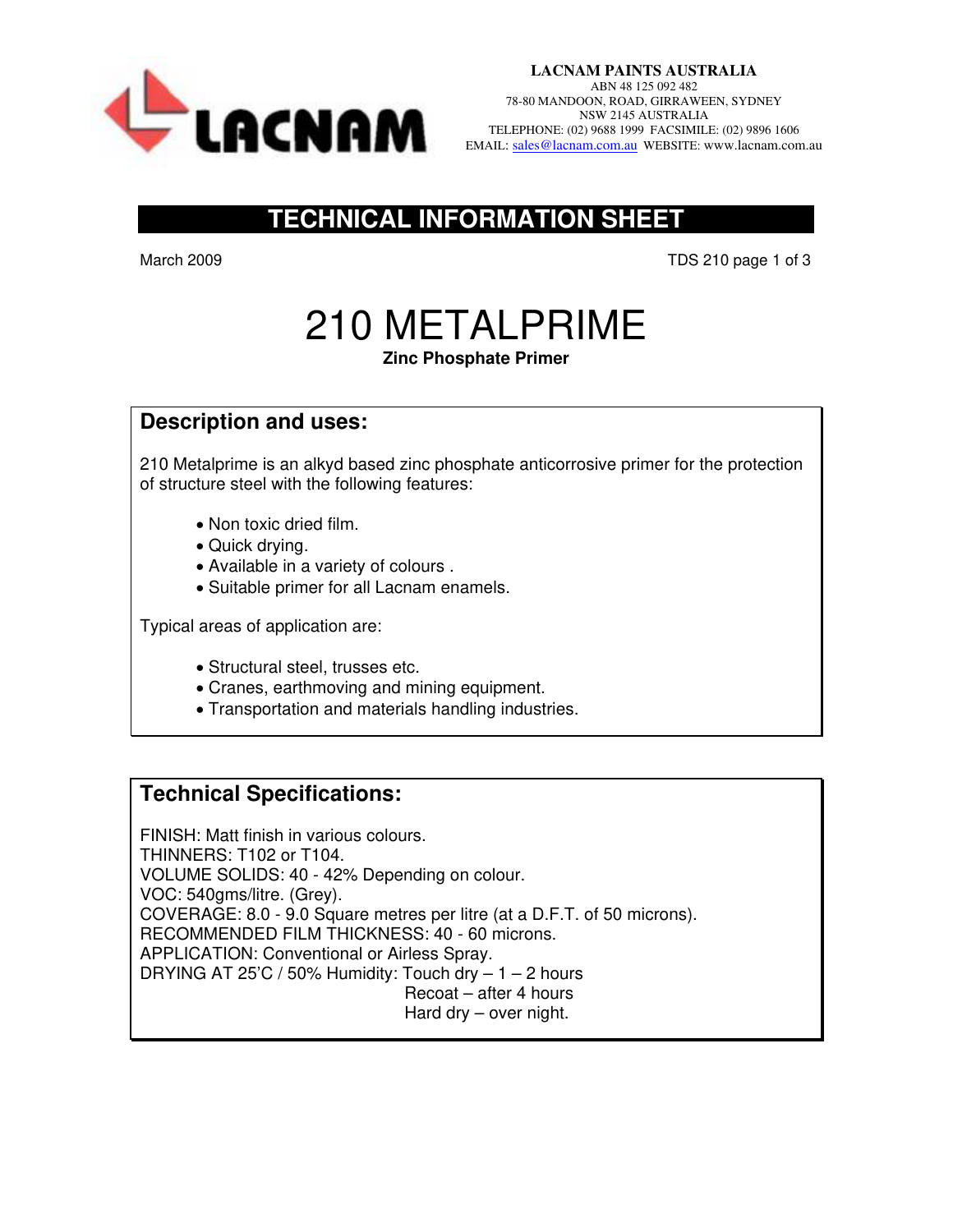

## **TECHNICAL INFORMATION SHEET**

March 2009 **TDS 210 page 1 of 3** 

# 210 METALPRIME

### **Zinc Phosphate Primer**

## **Description and uses:**

210 Metalprime is an alkyd based zinc phosphate anticorrosive primer for the protection of structure steel with the following features:

- Non toxic dried film.
- Quick drying.
- Available in a variety of colours .
- Suitable primer for all Lacnam enamels.

Typical areas of application are:

- Structural steel, trusses etc.
- Cranes, earthmoving and mining equipment.
- Transportation and materials handling industries.

## **Technical Specifications:**

FINISH: Matt finish in various colours. THINNERS: T102 or T104. VOLUME SOLIDS: 40 - 42% Depending on colour. VOC: 540gms/litre. (Grey). COVERAGE: 8.0 - 9.0 Square metres per litre (at a D.F.T. of 50 microns). RECOMMENDED FILM THICKNESS: 40 - 60 microns. APPLICATION: Conventional or Airless Spray. DRYING AT 25'C / 50% Humidity: Touch dry  $-1 - 2$  hours Recoat – after 4 hours Hard dry – over night.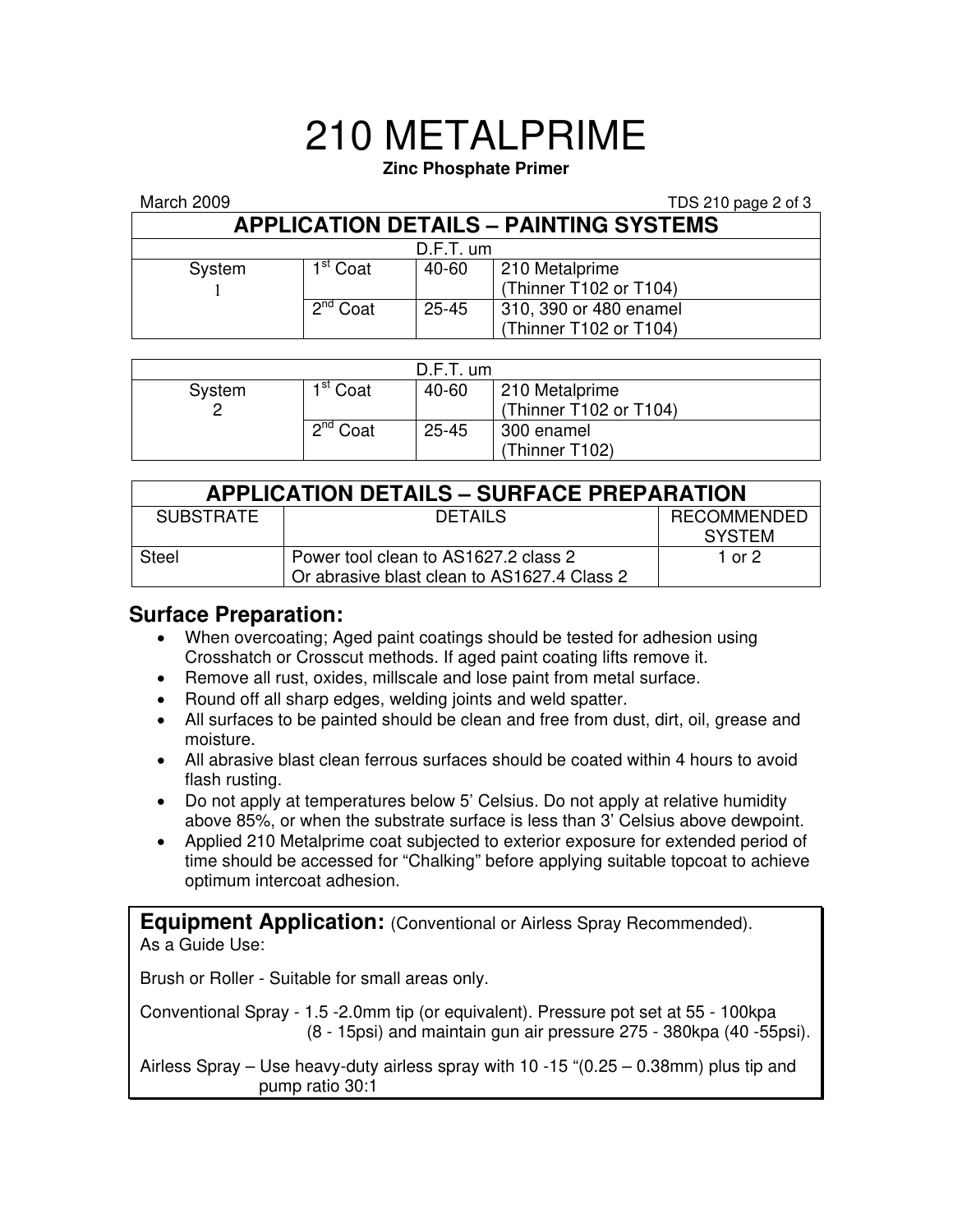## 210 METALPRIME

### **Zinc Phosphate Primer**

#### March 2009 TDS 210 page 2 of 3

|                                               |                      |           | $1 - 5 = 10$ page $= 0.5$                        |  |  |  |  |
|-----------------------------------------------|----------------------|-----------|--------------------------------------------------|--|--|--|--|
| <b>APPLICATION DETAILS - PAINTING SYSTEMS</b> |                      |           |                                                  |  |  |  |  |
| $D.F.T.$ um                                   |                      |           |                                                  |  |  |  |  |
| System                                        | 1 <sup>st</sup> Coat | 40-60     | 210 Metalprime<br>(Thinner T102 or T104)         |  |  |  |  |
|                                               | $2^{nd}$ Coat        | $25 - 45$ | 310, 390 or 480 enamel<br>(Thinner T102 or T104) |  |  |  |  |

| $D.F.T.$ um |                      |           |                        |  |  |  |
|-------------|----------------------|-----------|------------------------|--|--|--|
| System      | 1 <sup>st</sup> Coat | 40-60     | 210 Metalprime         |  |  |  |
|             |                      |           | (Thinner T102 or T104) |  |  |  |
|             | $2^{nd}$ Coat        | $25 - 45$ | 300 enamel             |  |  |  |
|             |                      |           | (Thinner T102)         |  |  |  |

| <b>APPLICATION DETAILS - SURFACE PREPARATION</b> |                                                                                     |                                     |  |  |  |
|--------------------------------------------------|-------------------------------------------------------------------------------------|-------------------------------------|--|--|--|
| <b>SUBSTRATE</b>                                 | DETAILS                                                                             | <b>RECOMMENDED</b><br><b>SYSTEM</b> |  |  |  |
| Steel                                            | Power tool clean to AS1627.2 class 2<br>Or abrasive blast clean to AS1627.4 Class 2 | 1 or 2                              |  |  |  |

## **Surface Preparation:**

- When overcoating; Aged paint coatings should be tested for adhesion using Crosshatch or Crosscut methods. If aged paint coating lifts remove it.
- Remove all rust, oxides, millscale and lose paint from metal surface.
- Round off all sharp edges, welding joints and weld spatter.
- All surfaces to be painted should be clean and free from dust, dirt, oil, grease and moisture.
- All abrasive blast clean ferrous surfaces should be coated within 4 hours to avoid flash rusting.
- Do not apply at temperatures below 5' Celsius. Do not apply at relative humidity above 85%, or when the substrate surface is less than 3' Celsius above dewpoint.
- Applied 210 Metalprime coat subjected to exterior exposure for extended period of time should be accessed for "Chalking" before applying suitable topcoat to achieve optimum intercoat adhesion.

**Equipment Application:** (Conventional or Airless Spray Recommended). As a Guide Use:

Brush or Roller - Suitable for small areas only.

Conventional Spray - 1.5 -2.0mm tip (or equivalent). Pressure pot set at 55 - 100kpa (8 - 15psi) and maintain gun air pressure 275 - 380kpa (40 -55psi).

Airless Spray – Use heavy-duty airless spray with 10 -15 "(0.25 – 0.38mm) plus tip and pump ratio 30:1